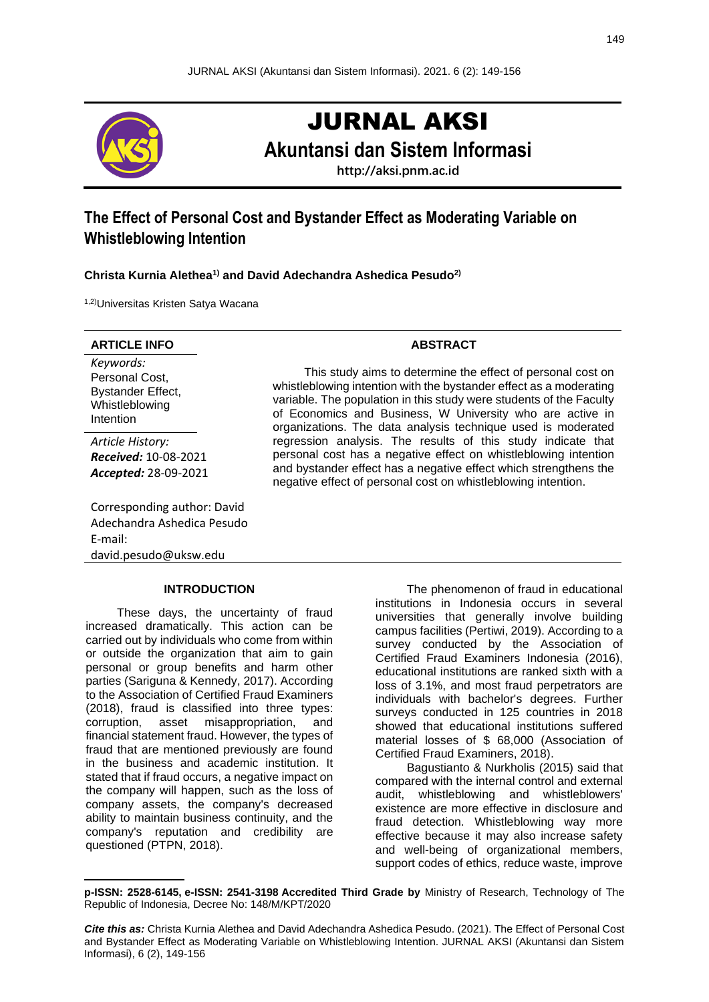

# JURNAL AKSI

**Akuntansi dan Sistem Informasi**

**http://aksi.pnm.ac.id**

# **The Effect of Personal Cost and Bystander Effect as Moderating Variable on Whistleblowing Intention**

**Christa Kurnia Alethea1) and David Adechandra Ashedica Pesudo2)**

1,2)Universitas Kristen Satya Wacana

# **ARTICLE INFO ABSTRACT**

*Keywords:* Personal Cost, Bystander Effect, Whistleblowing Intention

*Article History: Received:* 10-08-2021 *Accepted:* 28-09-2021

Corresponding author: David Adechandra Ashedica Pesudo E-mail: david.pesudo@uksw.edu

# **INTRODUCTION**

These days, the uncertainty of fraud increased dramatically. This action can be carried out by individuals who come from within or outside the organization that aim to gain personal or group benefits and harm other parties (Sariguna & Kennedy, 2017). According to the Association of Certified Fraud Examiners (2018), fraud is classified into three types: corruption, asset misappropriation, and financial statement fraud. However, the types of fraud that are mentioned previously are found in the business and academic institution. It stated that if fraud occurs, a negative impact on the company will happen, such as the loss of company assets, the company's decreased ability to maintain business continuity, and the company's reputation and credibility are questioned (PTPN, 2018).

This study aims to determine the effect of personal cost on whistleblowing intention with the bystander effect as a moderating variable. The population in this study were students of the Faculty of Economics and Business, W University who are active in organizations. The data analysis technique used is moderated regression analysis. The results of this study indicate that personal cost has a negative effect on whistleblowing intention and bystander effect has a negative effect which strengthens the negative effect of personal cost on whistleblowing intention.

> The phenomenon of fraud in educational institutions in Indonesia occurs in several universities that generally involve building campus facilities (Pertiwi, 2019). According to a survey conducted by the Association of Certified Fraud Examiners Indonesia (2016), educational institutions are ranked sixth with a loss of 3.1%, and most fraud perpetrators are individuals with bachelor's degrees. Further surveys conducted in 125 countries in 2018 showed that educational institutions suffered material losses of \$ 68,000 (Association of Certified Fraud Examiners, 2018).

> Bagustianto & Nurkholis (2015) said that compared with the internal control and external audit, whistleblowing and whistleblowers' existence are more effective in disclosure and fraud detection. Whistleblowing way more effective because it may also increase safety and well-being of organizational members, support codes of ethics, reduce waste, improve

**p[-ISSN: 2528-6145,](http://issn.pdii.lipi.go.id/issn.cgi?daftar&&&&&2528-6145) e[-ISSN: 2541-3198](http://issn.pdii.lipi.go.id/issn.cgi?daftar&1471837241&1&&) Accredited Third Grade by** Ministry of Research, Technology of The Republic of Indonesia, Decree No: 148/M/KPT/2020

*Cite this as:* Christa Kurnia Alethea and David Adechandra Ashedica Pesudo. (2021). The Effect of Personal Cost and Bystander Effect as Moderating Variable on Whistleblowing Intention. JURNAL AKSI (Akuntansi dan Sistem Informasi), 6 (2), 149-156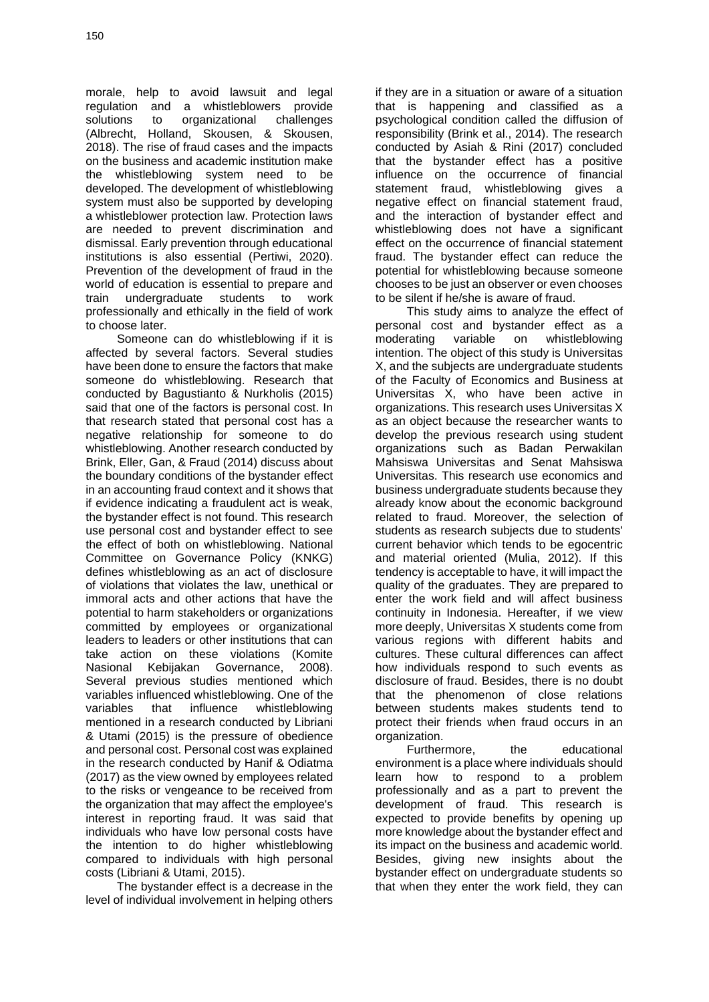morale, help to avoid lawsuit and legal regulation and a whistleblowers provide solutions to organizational challenges (Albrecht, Holland, Skousen, & Skousen, 2018). The rise of fraud cases and the impacts on the business and academic institution make the whistleblowing system need to be developed. The development of whistleblowing system must also be supported by developing a whistleblower protection law. Protection laws are needed to prevent discrimination and dismissal. Early prevention through educational institutions is also essential (Pertiwi, 2020). Prevention of the development of fraud in the world of education is essential to prepare and train undergraduate students to work professionally and ethically in the field of work to choose later.

Someone can do whistleblowing if it is affected by several factors. Several studies have been done to ensure the factors that make someone do whistleblowing. Research that conducted by Bagustianto & Nurkholis (2015) said that one of the factors is personal cost. In that research stated that personal cost has a negative relationship for someone to do whistleblowing. Another research conducted by Brink, Eller, Gan, & Fraud (2014) discuss about the boundary conditions of the bystander effect in an accounting fraud context and it shows that if evidence indicating a fraudulent act is weak, the bystander effect is not found. This research use personal cost and bystander effect to see the effect of both on whistleblowing. National Committee on Governance Policy (KNKG) defines whistleblowing as an act of disclosure of violations that violates the law, unethical or immoral acts and other actions that have the potential to harm stakeholders or organizations committed by employees or organizational leaders to leaders or other institutions that can take action on these violations (Komite Nasional Kebijakan Governance, 2008). Several previous studies mentioned which variables influenced whistleblowing. One of the variables that influence whistleblowing mentioned in a research conducted by Libriani & Utami (2015) is the pressure of obedience and personal cost. Personal cost was explained in the research conducted by Hanif & Odiatma (2017) as the view owned by employees related to the risks or vengeance to be received from the organization that may affect the employee's interest in reporting fraud. It was said that individuals who have low personal costs have the intention to do higher whistleblowing compared to individuals with high personal costs (Libriani & Utami, 2015).

The bystander effect is a decrease in the level of individual involvement in helping others

if they are in a situation or aware of a situation that is happening and classified as a psychological condition called the diffusion of responsibility (Brink et al., 2014). The research conducted by Asiah & Rini (2017) concluded that the bystander effect has a positive influence on the occurrence of financial statement fraud, whistleblowing gives a negative effect on financial statement fraud, and the interaction of bystander effect and whistleblowing does not have a significant effect on the occurrence of financial statement fraud. The bystander effect can reduce the potential for whistleblowing because someone chooses to be just an observer or even chooses to be silent if he/she is aware of fraud.

This study aims to analyze the effect of personal cost and bystander effect as a moderating variable on whistleblowing intention. The object of this study is Universitas X, and the subjects are undergraduate students of the Faculty of Economics and Business at Universitas X, who have been active in organizations. This research uses Universitas X as an object because the researcher wants to develop the previous research using student organizations such as Badan Perwakilan Mahsiswa Universitas and Senat Mahsiswa Universitas. This research use economics and business undergraduate students because they already know about the economic background related to fraud. Moreover, the selection of students as research subjects due to students' current behavior which tends to be egocentric and material oriented (Mulia, 2012). If this tendency is acceptable to have, it will impact the quality of the graduates. They are prepared to enter the work field and will affect business continuity in Indonesia. Hereafter, if we view more deeply, Universitas X students come from various regions with different habits and cultures. These cultural differences can affect how individuals respond to such events as disclosure of fraud. Besides, there is no doubt that the phenomenon of close relations between students makes students tend to protect their friends when fraud occurs in an organization.

Furthermore, the educational environment is a place where individuals should learn how to respond to a problem professionally and as a part to prevent the development of fraud. This research is expected to provide benefits by opening up more knowledge about the bystander effect and its impact on the business and academic world. Besides, giving new insights about the bystander effect on undergraduate students so that when they enter the work field, they can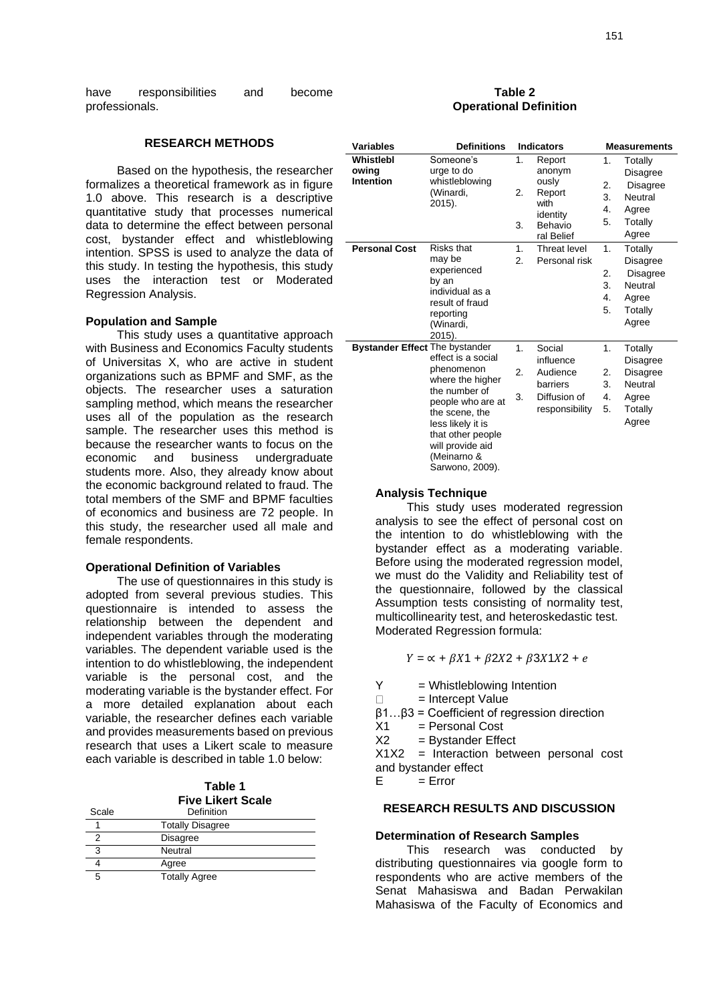have responsibilities and become professionals.

#### **RESEARCH METHODS**

Based on the hypothesis, the researcher formalizes a theoretical framework as in figure 1.0 above. This research is a descriptive quantitative study that processes numerical data to determine the effect between personal cost, bystander effect and whistleblowing intention. SPSS is used to analyze the data of this study. In testing the hypothesis, this study uses the interaction test or Moderated Regression Analysis.

#### **Population and Sample**

This study uses a quantitative approach with Business and Economics Faculty students of Universitas X, who are active in student organizations such as BPMF and SMF, as the objects. The researcher uses a saturation sampling method, which means the researcher uses all of the population as the research sample. The researcher uses this method is because the researcher wants to focus on the economic and business undergraduate students more. Also, they already know about the economic background related to fraud. The total members of the SMF and BPMF faculties of economics and business are 72 people. In this study, the researcher used all male and female respondents.

#### **Operational Definition of Variables**

The use of questionnaires in this study is adopted from several previous studies. This questionnaire is intended to assess the relationship between the dependent and independent variables through the moderating variables. The dependent variable used is the intention to do whistleblowing, the independent variable is the personal cost, and the moderating variable is the bystander effect. For a more detailed explanation about each variable, the researcher defines each variable and provides measurements based on previous research that uses a Likert scale to measure each variable is described in table 1.0 below:

| Table 1                  |  |
|--------------------------|--|
| <b>Five Likert Scale</b> |  |

| Scale | Definition              |  |
|-------|-------------------------|--|
|       | <b>Totally Disagree</b> |  |
|       | <b>Disagree</b>         |  |
|       | Neutral                 |  |
|       | Agree                   |  |
|       | <b>Totally Agree</b>    |  |

#### **Table 2 Operational Definition**

| <b>Variables</b>                       | <b>Definitions</b>                                                                                                                                                                                           |                | <b>Indicators</b>                                                                |                            | <b>Measurements</b>                                                     |
|----------------------------------------|--------------------------------------------------------------------------------------------------------------------------------------------------------------------------------------------------------------|----------------|----------------------------------------------------------------------------------|----------------------------|-------------------------------------------------------------------------|
| Whistlebl<br>owing<br><b>Intention</b> | Someone's<br>urge to do<br>whistleblowing<br>(Winardi,<br>2015).                                                                                                                                             | 1.<br>2.<br>3. | Report<br>anonym<br>ously<br>Report<br>with<br>identity<br>Behavio<br>ral Belief | 1.<br>2.<br>3.<br>4.<br>5. | Totally<br>Disagree<br>Disagree<br>Neutral<br>Agree<br>Totally<br>Agree |
| <b>Personal Cost</b>                   | Risks that<br>may be<br>experienced<br>by an<br>individual as a<br>result of fraud<br>reporting<br>(Winardi,<br>2015).                                                                                       | 1.<br>2.       | Threat level<br>Personal risk                                                    | 1.<br>2.<br>3.<br>4.<br>5. | Totally<br>Disagree<br>Disagree<br>Neutral<br>Agree<br>Totally<br>Agree |
| <b>Bystander Effect The bystander</b>  | effect is a social<br>phenomenon<br>where the higher<br>the number of<br>people who are at<br>the scene, the<br>less likely it is<br>that other people<br>will provide aid<br>(Meinarno &<br>Sarwono, 2009). | 1.<br>2.<br>3. | Social<br>influence<br>Audience<br>barriers<br>Diffusion of<br>responsibility    | 1.<br>2.<br>3.<br>4.<br>5. | Totally<br>Disagree<br>Disagree<br>Neutral<br>Agree<br>Totally<br>Agree |

# **Analysis Technique**

This study uses moderated regression analysis to see the effect of personal cost on the intention to do whistleblowing with the bystander effect as a moderating variable. Before using the moderated regression model, we must do the Validity and Reliability test of the questionnaire, followed by the classical Assumption tests consisting of normality test, multicollinearity test, and heteroskedastic test. Moderated Regression formula:

 $Y = \alpha + \beta X_1 + \beta 2X_2 + \beta 3X_1X_2 + e$ 

- $Y = Whistleblowing Invention$
- = Intercept Value  $\Box$
- ꞵ1…ꞵ3 = Coefficient of regression direction
- $X1 =$  Personal Cost
- $X2 = Bystander Effect$

X1X2 = Interaction between personal cost and bystander effect

 $E = Err$ or

#### **RESEARCH RESULTS AND DISCUSSION**

#### **Determination of Research Samples**

This research was conducted by distributing questionnaires via google form to respondents who are active members of the Senat Mahasiswa and Badan Perwakilan Mahasiswa of the Faculty of Economics and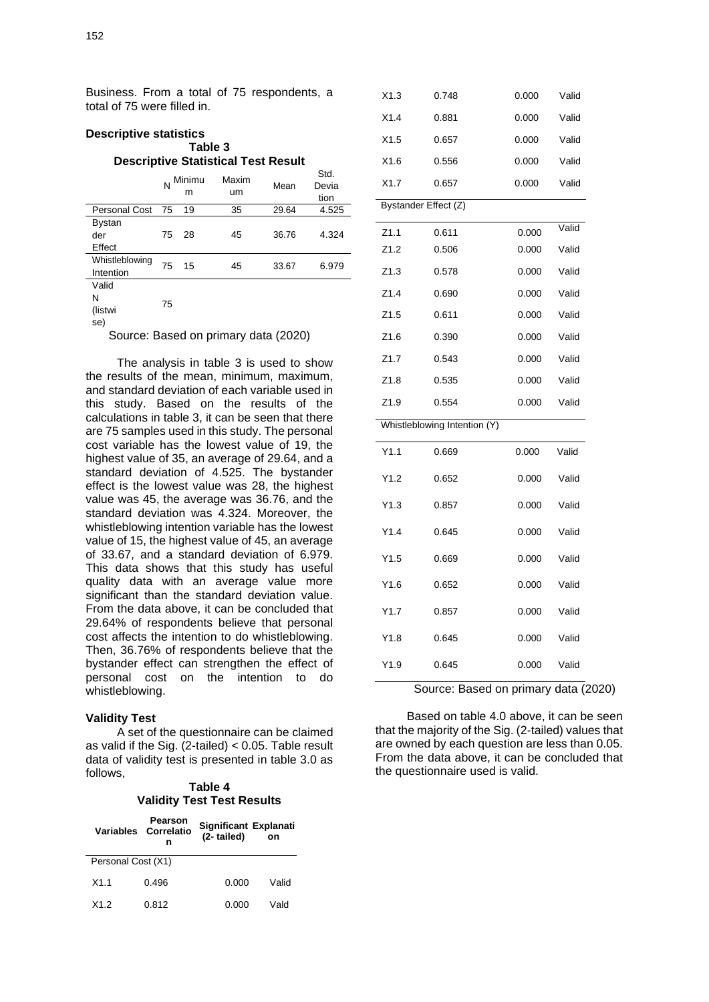Business. From a total of 75 respondents, a total of 75 were filled in.

#### **Descriptive statistics Table 3 Descriptive Statistical Test Result**

|                                |    | N Minimu<br>m | Maxim<br>um | Mean  | Std.<br>Devia<br>tion |
|--------------------------------|----|---------------|-------------|-------|-----------------------|
| <b>Personal Cost</b>           | 75 | 19            | 35          | 29.64 | 4.525                 |
| <b>Bystan</b><br>der<br>Effect | 75 | 28            | 45          | 36.76 | 4.324                 |
| Whistleblowing<br>Intention    | 75 | 15            | 45          | 33.67 | 6.979                 |
| Valid<br>N<br>(listwi<br>se)   | 75 |               |             |       |                       |

Source: Based on primary data (2020)

The analysis in table 3 is used to show the results of the mean, minimum, maximum, and standard deviation of each variable used in this study. Based on the results of the calculations in table 3, it can be seen that there are 75 samples used in this study. The personal cost variable has the lowest value of 19, the highest value of 35, an average of 29.64, and a standard deviation of 4.525. The bystander effect is the lowest value was 28, the highest value was 45, the average was 36.76, and the standard deviation was 4.324. Moreover, the whistleblowing intention variable has the lowest value of 15, the highest value of 45, an average of 33.67, and a standard deviation of 6.979. This data shows that this study has useful quality data with an average value more significant than the standard deviation value. From the data above, it can be concluded that 29.64% of respondents believe that personal cost affects the intention to do whistleblowing. Then, 36.76% of respondents believe that the bystander effect can strengthen the effect of personal cost on the intention to do whistleblowing.

#### **Validity Test**

A set of the questionnaire can be claimed as valid if the Sig.  $(2\t-|1) < 0.05$ . Table result data of validity test is presented in table 3.0 as follows,

**Table 4 Validity Test Test Results**

| <b>Variables</b>   | Pearson<br>Correlatio<br>n | Significant Explanati<br>(2-tailed) | on    |
|--------------------|----------------------------|-------------------------------------|-------|
| Personal Cost (X1) |                            |                                     |       |
| X1.1               | 0.496                      | 0.000                               | Valid |
| X1.2               | 0.812                      | 0.000                               | Vald  |

| X1.3 | 0.748                        | 0.000 | Valid |
|------|------------------------------|-------|-------|
| X1.4 | 0.881                        | 0.000 | Valid |
| X1.5 | 0.657                        | 0.000 | Valid |
| X1.6 | 0.556                        | 0.000 | Valid |
| X1.7 | 0.657                        | 0.000 | Valid |
|      | Bystander Effect (Z)         |       |       |
| Z1.1 | 0.611                        | 0.000 | Valid |
|      |                              |       |       |
| Z1.2 | 0.506                        | 0.000 | Valid |
| Z1.3 | 0.578                        | 0.000 | Valid |
| Z1.4 | 0.690                        | 0.000 | Valid |
| Z1.5 | 0.611                        | 0.000 | Valid |
| Z1.6 | 0.390                        | 0.000 | Valid |
| Z1.7 | 0.543                        | 0.000 | Valid |
| Z1.8 | 0.535                        | 0.000 | Valid |
| Z1.9 | 0.554                        | 0.000 | Valid |
|      | Whistleblowing Intention (Y) |       |       |
| Y1.1 | 0.669                        | 0.000 | Valid |
| Y1.2 | 0.652                        | 0.000 | Valid |
| Y1.3 | 0.857                        | 0.000 | Valid |
| Y1.4 | 0.645                        | 0.000 | Valid |
| Y1.5 | 0.669                        | 0.000 | Valid |
| Y1.6 | 0.652                        | 0.000 | Valid |
| Y1.7 | 0.857                        | 0.000 | Valid |
| Y1.8 | 0.645                        | 0.000 | Valid |
| Y1.9 | 0.645                        | 0.000 | Valid |

Source: Based on primary data (2020)

Based on table 4.0 above, it can be seen that the majority of the Sig. (2-tailed) values that are owned by each question are less than 0.05. From the data above, it can be concluded that the questionnaire used is valid.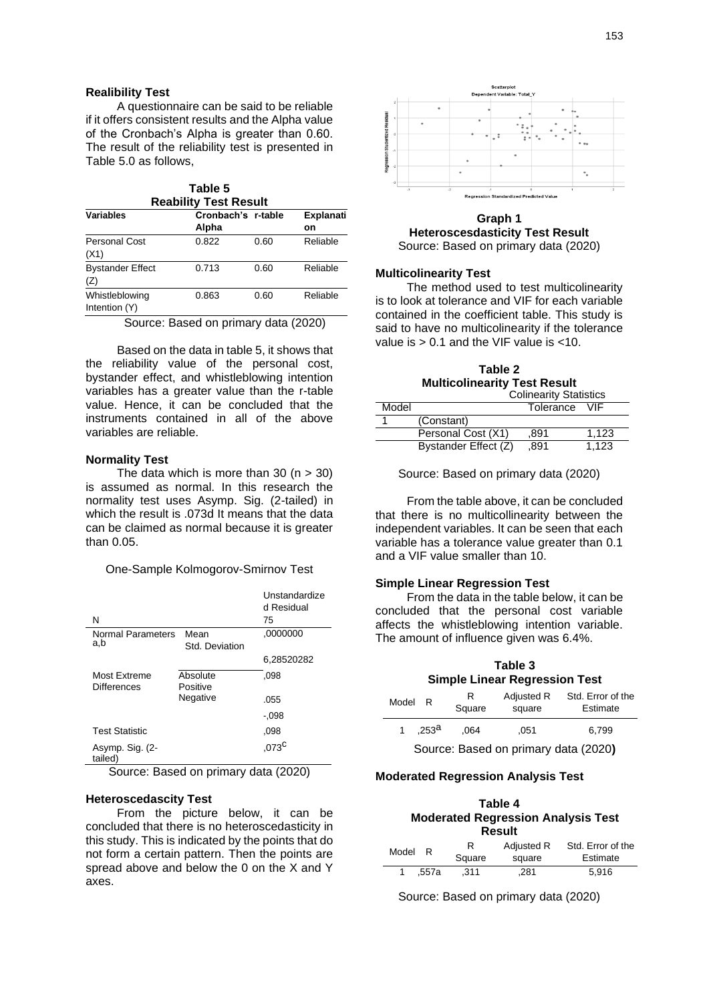#### **Realibility Test**

A questionnaire can be said to be reliable if it offers consistent results and the Alpha value of the Cronbach's Alpha is greater than 0.60. The result of the reliability test is presented in Table 5.0 as follows,

|                              | Table 5 |  |
|------------------------------|---------|--|
| <b>Reability Test Result</b> |         |  |

| <b>Variables</b>                | Cronbach's r-table |      | <b>Explanati</b> |
|---------------------------------|--------------------|------|------------------|
|                                 | Alpha              |      | on               |
| Personal Cost<br>(X1)           | 0.822              | 0.60 | Reliable         |
| <b>Bystander Effect</b><br>(Z)  | 0.713              | 0.60 | Reliable         |
| Whistleblowing<br>Intention (Y) | 0.863              | 0.60 | Reliable         |

Source: Based on primary data (2020)

Based on the data in table 5, it shows that the reliability value of the personal cost, bystander effect, and whistleblowing intention variables has a greater value than the r-table value. Hence, it can be concluded that the instruments contained in all of the above variables are reliable.

#### **Normality Test**

The data which is more than 30  $(n > 30)$ is assumed as normal. In this research the normality test uses Asymp. Sig. (2-tailed) in which the result is .073d It means that the data can be claimed as normal because it is greater than 0.05.

One-Sample Kolmogorov-Smirnov Test

|                                    |                        | Unstandardize<br>d Residual |
|------------------------------------|------------------------|-----------------------------|
| N                                  |                        | 75                          |
| Normal Parameters<br>a,b           | Mean<br>Std. Deviation | ,0000000                    |
|                                    |                        | 6,28520282                  |
| Most Extreme<br><b>Differences</b> | Absolute<br>Positive   | .098                        |
|                                    | Negative               | .055                        |
|                                    |                        | -.098                       |
| <b>Test Statistic</b>              |                        | .098                        |
| Asymp. Sig. (2-<br>tailed)         |                        | $,073^C$                    |

Source: Based on primary data (2020)

#### **Heteroscedascity Test**

From the picture below, it can be concluded that there is no heteroscedasticity in this study. This is indicated by the points that do not form a certain pattern. Then the points are spread above and below the 0 on the X and Y axes.



**Graph 1 Heteroscesdasticity Test Result** Source: Based on primary data (2020)

#### **Multicolinearity Test**

The method used to test multicolinearity is to look at tolerance and VIF for each variable contained in the coefficient table. This study is said to have no multicolinearity if the tolerance value is  $> 0.1$  and the VIF value is  $< 10$ .

**Table 2 Multicolinearity Test Result** Colinearity Statistics

|       | <b>CUILICATILY OLALISTICS</b> |           |       |  |
|-------|-------------------------------|-----------|-------|--|
| Model |                               | Tolerance | VIF.  |  |
|       | (Constant)                    |           |       |  |
|       | Personal Cost (X1)            | .891      | 1.123 |  |
|       | Bystander Effect (Z)          | .891      | 1.123 |  |

Source: Based on primary data (2020)

From the table above, it can be concluded that there is no multicollinearity between the independent variables. It can be seen that each variable has a tolerance value greater than 0.1 and a VIF value smaller than 10.

#### **Simple Linear Regression Test**

From the data in the table below, it can be concluded that the personal cost variable affects the whistleblowing intention variable. The amount of influence given was 6.4%.

# **Table 3 Simple Linear Regression Test**

| Model                                | R                 | R<br>Square | Adjusted R<br>square | Std. Error of the<br>Estimate |  |
|--------------------------------------|-------------------|-------------|----------------------|-------------------------------|--|
|                                      | .253 <sup>a</sup> | .064        | .051                 | 6.799                         |  |
| Source: Based on primary data (2020) |                   |             |                      |                               |  |

#### **Moderated Regression Analysis Test**

| Table 4<br><b>Moderated Regression Analysis Test</b><br><b>Result</b> |       |      |            |                   |  |  |
|-----------------------------------------------------------------------|-------|------|------------|-------------------|--|--|
|                                                                       | R     | R    | Adjusted R | Std. Error of the |  |  |
| Model<br>Square<br>Estimate<br>square                                 |       |      |            |                   |  |  |
|                                                                       | .557a | .311 | .281       | 5.916             |  |  |

Source: Based on primary data (2020)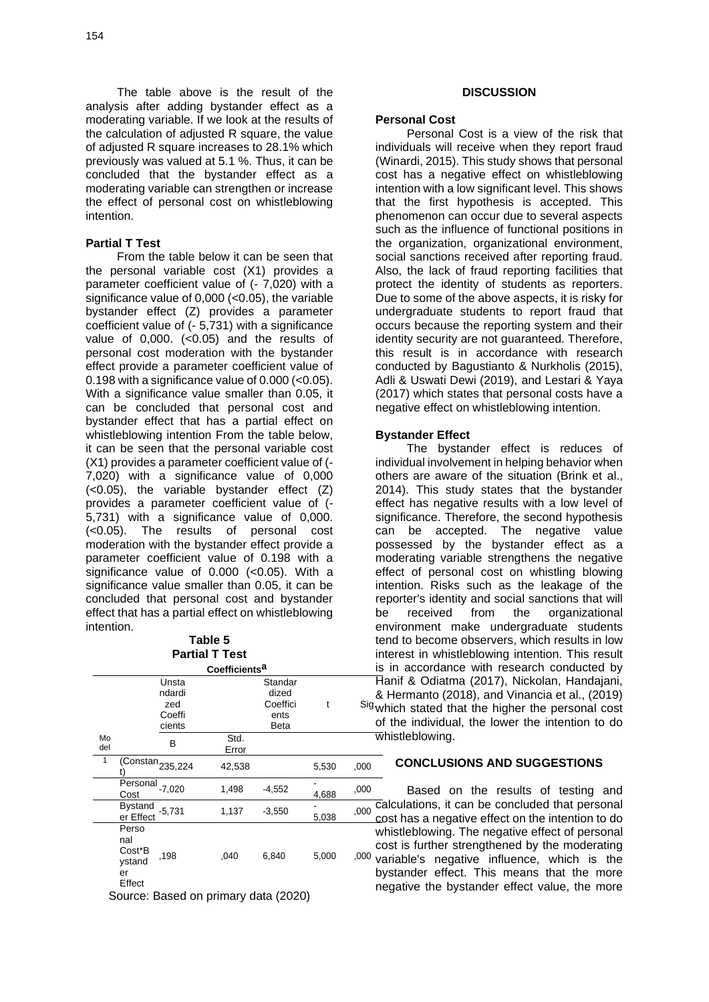The table above is the result of the analysis after adding bystander effect as a moderating variable. If we look at the results of the calculation of adjusted R square, the value of adjusted R square increases to 28.1% which previously was valued at 5.1 %. Thus, it can be concluded that the bystander effect as a moderating variable can strengthen or increase the effect of personal cost on whistleblowing intention.

#### **Partial T Test**

From the table below it can be seen that the personal variable cost (X1) provides a parameter coefficient value of (- 7,020) with a significance value of  $0,000$  ( $< 0.05$ ), the variable bystander effect (Z) provides a parameter coefficient value of (- 5,731) with a significance value of  $0,000$ .  $( $0.05$ )$  and the results of personal cost moderation with the bystander effect provide a parameter coefficient value of 0.198 with a significance value of  $0.000$  ( $< 0.05$ ). With a significance value smaller than 0.05, it can be concluded that personal cost and bystander effect that has a partial effect on whistleblowing intention From the table below, it can be seen that the personal variable cost (X1) provides a parameter coefficient value of (- 7,020) with a significance value of 0,000 (<0.05), the variable bystander effect (Z) provides a parameter coefficient value of (- 5,731) with a significance value of 0,000. (<0.05). The results of personal cost moderation with the bystander effect provide a parameter coefficient value of 0.198 with a significance value of 0.000 (<0.05). With a significance value smaller than 0.05, it can be concluded that personal cost and bystander effect that has a partial effect on whistleblowing intention.

# **Table 5 Partial T Test**

| Coefficients <sup>a</sup> |                                                  |                                            |               |                                              |       |      |
|---------------------------|--------------------------------------------------|--------------------------------------------|---------------|----------------------------------------------|-------|------|
|                           |                                                  | Unsta<br>ndardi<br>zed<br>Coeffi<br>cients |               | Standar<br>dized<br>Coeffici<br>ents<br>Beta | t     | Siç  |
| Mo<br>del                 |                                                  | В                                          | Std.<br>Error |                                              |       |      |
|                           | $\overline{\text{(Constant)}}_{235,224}$         |                                            | 42,538        |                                              | 5,530 | ,000 |
|                           | Personal<br>Cost                                 | $-7.020$                                   | 1,498         | $-4,552$                                     | 4,688 | ,000 |
|                           | <b>Bystand</b><br>er Effect                      | $-5,731$                                   | 1,137         | $-3,550$                                     | 5,038 | ,000 |
|                           | Perso<br>nal<br>Cost*B<br>ystand<br>er<br>Effect | ,198                                       | ,040          | 6,840                                        | 5,000 | ,000 |

Source: Based on primary data (2020)

#### **DISCUSSION**

#### **Personal Cost**

Personal Cost is a view of the risk that individuals will receive when they report fraud (Winardi, 2015). This study shows that personal cost has a negative effect on whistleblowing intention with a low significant level. This shows that the first hypothesis is accepted. This phenomenon can occur due to several aspects such as the influence of functional positions in the organization, organizational environment, social sanctions received after reporting fraud. Also, the lack of fraud reporting facilities that protect the identity of students as reporters. Due to some of the above aspects, it is risky for undergraduate students to report fraud that occurs because the reporting system and their identity security are not guaranteed. Therefore, this result is in accordance with research conducted by Bagustianto & Nurkholis (2015), Adli & Uswati Dewi (2019), and Lestari & Yaya (2017) which states that personal costs have a negative effect on whistleblowing intention.

#### **Bystander Effect**

<sup>t Sig</sup> which stated that the higher the personal cost The bystander effect is reduces of individual involvement in helping behavior when others are aware of the situation (Brink et al., 2014). This study states that the bystander effect has negative results with a low level of significance. Therefore, the second hypothesis can be accepted. The negative value possessed by the bystander effect as a moderating variable strengthens the negative effect of personal cost on whistling blowing intention. Risks such as the leakage of the reporter's identity and social sanctions that will be received from the organizational environment make undergraduate students tend to become observers, which results in low interest in whistleblowing intention. This result is in accordance with research conducted by Hanif & Odiatma (2017), Nickolan, Handajani, & Hermanto (2018), and Vinancia et al., (2019) of the individual, the lower the intention to do whistleblowing.

### **CONCLUSIONS AND SUGGESTIONS**

Based on the results of testing and calculations, it can be concluded that personal cost has a negative effect on the intention to do whistleblowing. The negative effect of personal cost is further strengthened by the moderating  $^{00}$  variable's negative influence, which is the bystander effect. This means that the more negative the bystander effect value, the more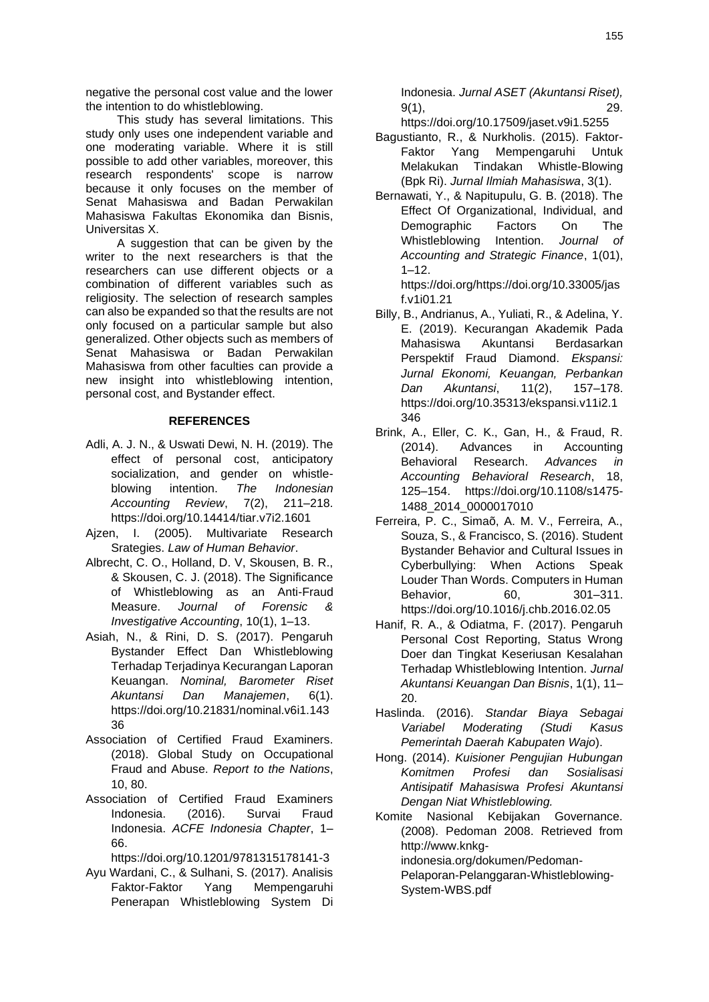negative the personal cost value and the lower the intention to do whistleblowing.

This study has several limitations. This study only uses one independent variable and one moderating variable. Where it is still possible to add other variables, moreover, this research respondents' scope is narrow because it only focuses on the member of Senat Mahasiswa and Badan Perwakilan Mahasiswa Fakultas Ekonomika dan Bisnis, Universitas X.

A suggestion that can be given by the writer to the next researchers is that the researchers can use different objects or a combination of different variables such as religiosity. The selection of research samples can also be expanded so that the results are not only focused on a particular sample but also generalized. Other objects such as members of Senat Mahasiswa or Badan Perwakilan Mahasiswa from other faculties can provide a new insight into whistleblowing intention, personal cost, and Bystander effect.

# **REFERENCES**

- Adli, A. J. N., & Uswati Dewi, N. H. (2019). The effect of personal cost, anticipatory socialization, and gender on whistleblowing intention. *The Indonesian Accounting Review*, 7(2), 211–218. <https://doi.org/10.14414/tiar.v7i2.1601>
- Ajzen, I. (2005). Multivariate Research Srategies. *Law of Human Behavior*.
- Albrecht, C. O., Holland, D. V, Skousen, B. R., & Skousen, C. J. (2018). The Significance of Whistleblowing as an Anti-Fraud Measure. *Journal of Forensic & Investigative Accounting*, 10(1), 1–13.
- Asiah, N., & Rini, D. S. (2017). Pengaruh Bystander Effect Dan Whistleblowing Terhadap Terjadinya Kecurangan Laporan Keuangan. *Nominal, Barometer Riset Akuntansi Dan Manajemen*, 6(1). [https://doi.org/10.21831/nominal.v6i1.143](https://doi.org/10.21831/nominal.v6i1.14336) [36](https://doi.org/10.21831/nominal.v6i1.14336)
- Association of Certified Fraud Examiners. (2018). Global Study on Occupational Fraud and Abuse. *Report to the Nations*, 10, 80.
- Association of Certified Fraud Examiners Indonesia. (2016). Survai Fraud Indonesia. *ACFE Indonesia Chapter*, 1– 66.

<https://doi.org/10.1201/9781315178141-3>

Ayu Wardani, C., & Sulhani, S. (2017). Analisis Faktor-Faktor Yang Mempengaruhi Penerapan Whistleblowing System Di

Indonesia. *Jurnal ASET (Akuntansi Riset),* 9(1), 29.

<https://doi.org/10.17509/jaset.v9i1.5255>

- Bagustianto, R., & Nurkholis. (2015). Faktor-Faktor Yang Mempengaruhi Untuk Melakukan Tindakan Whistle-Blowing (Bpk Ri). *Jurnal Ilmiah Mahasiswa*, 3(1).
- Bernawati, Y., & Napitupulu, G. B. (2018). The Effect Of Organizational, Individual, and Demographic Factors On The Whistleblowing Intention. *Journal of Accounting and Strategic Finance*, 1(01),  $1 - 12.$

[https://doi.org/https://doi.org/10.33005/jas](https://doi.org/https:/doi.org/10.33005/jasf.v1i01.21) [f.v1i01.21](https://doi.org/https:/doi.org/10.33005/jasf.v1i01.21)

- Billy, B., Andrianus, A., Yuliati, R., & Adelina, Y. E. (2019). Kecurangan Akademik Pada Mahasiswa Akuntansi Berdasarkan Perspektif Fraud Diamond. *Ekspansi: Jurnal Ekonomi, Keuangan, Perbankan Dan Akuntansi*, 11(2), 157–178. [https://doi.org/10.35313/ekspansi.v11i2.1](https://doi.org/10.35313/ekspansi.v11i2.1346) [346](https://doi.org/10.35313/ekspansi.v11i2.1346)
- Brink, A., Eller, C. K., Gan, H., & Fraud, R. (2014). Advances in Accounting Behavioral Research. *Advances in Accounting Behavioral Research*, 18, 125–154. [https://doi.org/10.1108/s1475-](https://doi.org/10.1108/s1475-%201488_2014_0000017010) [1488\\_2014\\_0000017010](https://doi.org/10.1108/s1475-%201488_2014_0000017010)
- Ferreira, P. C., Simaõ, A. M. V., Ferreira, A., Souza, S., & Francisco, S. (2016). Student Bystander Behavior and Cultural Issues in Cyberbullying: When Actions Speak Louder Than Words. Computers in Human Behavior, 60, 301–311. <https://doi.org/10.1016/j.chb.2016.02.05>
- Hanif, R. A., & Odiatma, F. (2017). Pengaruh Personal Cost Reporting, Status Wrong Doer dan Tingkat Keseriusan Kesalahan Terhadap Whistleblowing Intention. *Jurnal Akuntansi Keuangan Dan Bisnis*, 1(1), 11– 20.
- Haslinda. (2016). *Standar Biaya Sebagai Variabel Moderating (Studi Kasus Pemerintah Daerah Kabupaten Wajo*).
- Hong. (2014). *Kuisioner Pengujian Hubungan Komitmen Profesi dan Sosialisasi Antisipatif Mahasiswa Profesi Akuntansi Dengan Niat Whistleblowing.*
- Komite Nasional Kebijakan Governance. (2008). Pedoman 2008. Retrieved from http://www.knkg-

indonesia.org/dokumen/Pedoman-

Pelaporan-Pelanggaran-Whistleblowing-System-WBS.pdf